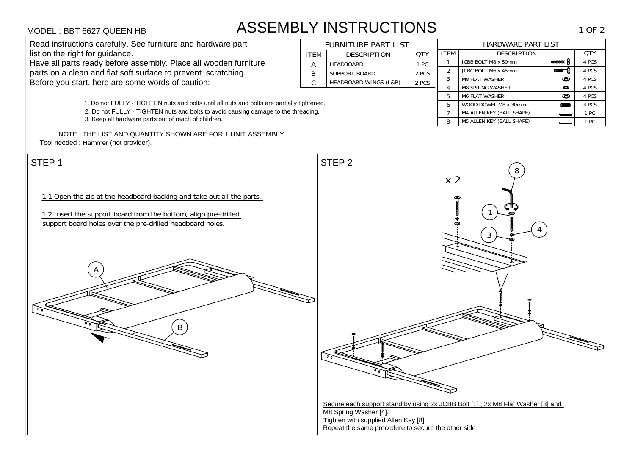# ASSEMBLY INSTRUCTIONS

NOTE : THE LIST AND QUANTITY SHOWN ARE FOR 1 UNIT ASSEMBLY. Tool needed : Hammer (not provider).

| <b><i>MODEL</i></b> : BBT 6627 QUEEN HB                                                    |                                                  | <b>ASSEMBLY INSTRUCTIONS</b>     |       |             |                         |                    | 1 OF 2 |
|--------------------------------------------------------------------------------------------|--------------------------------------------------|----------------------------------|-------|-------------|-------------------------|--------------------|--------|
| Read instructions carefully. See furniture and hardware part                               | HARDWARE PART LIST<br><b>FURNITURE PART LIST</b> |                                  |       |             |                         |                    |        |
| list on the right for guidance.                                                            | <b>ITEM</b>                                      | <b>DESCRIPTION</b>               | QTY   | <b>ITEM</b> | <b>DESCRIPTION</b>      |                    | QTY    |
| Have all parts ready before assembly. Place all wooden furniture                           |                                                  | <b>HEADBOARD</b>                 | l PC  |             | JCBB BOLT M8 x 50mm     | <b>ananan</b>      | 4 PCS  |
| parts on a clean and flat soft surface to prevent scratching.                              | B                                                | <b>SUPPORT BOARD</b>             | 2 PCS | 2           | JCBC BOLT M6 x 45mm     | aaaa <del> -</del> | 4 PCS  |
| Before you start, here are some words of caution:                                          |                                                  | HEADBOARD WINGS (L&R)            | 2 PCS | 3           | <b>M8 FLAT WASHER</b>   | ©                  | 4 PCS  |
|                                                                                            |                                                  |                                  |       |             | <b>M8 SPRING WASHER</b> | 0                  | 4 PCS  |
|                                                                                            |                                                  | <b>M6 FLAT WASHER</b>            | ◎     | 4 PCS       |                         |                    |        |
| 1. Do not FULLY - TIGHTEN nuts and bolts until all nuts and bolts are partially tightened. | 6.                                               | WOOD DOWEL M8 x 30mm             |       | 4 PCS       |                         |                    |        |
| 2. Do not FULLY - TIGHTEN nuts and bolts to avoid causing damage to the threading.         |                                                  | M4 ALLEN KEY (BALL SHAPE)        |       | 1 PC        |                         |                    |        |
| 3. Keep all hardware parts out of reach of children.                                       | 8                                                | <b>M5 ALLEN KEY (BALL SHAPE)</b> |       | 1 PC        |                         |                    |        |

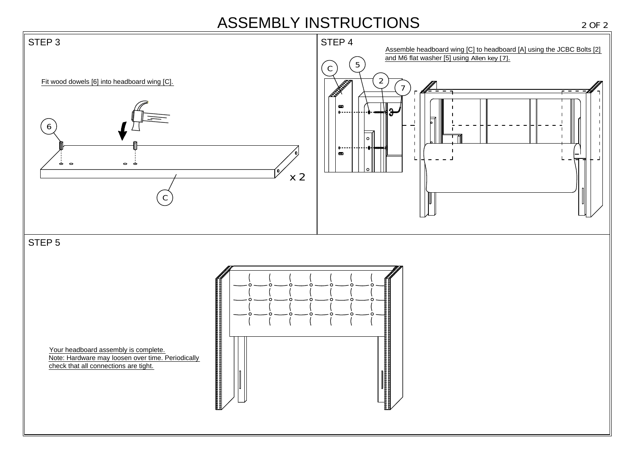# ASSEMBLY INSTRUCTIONS